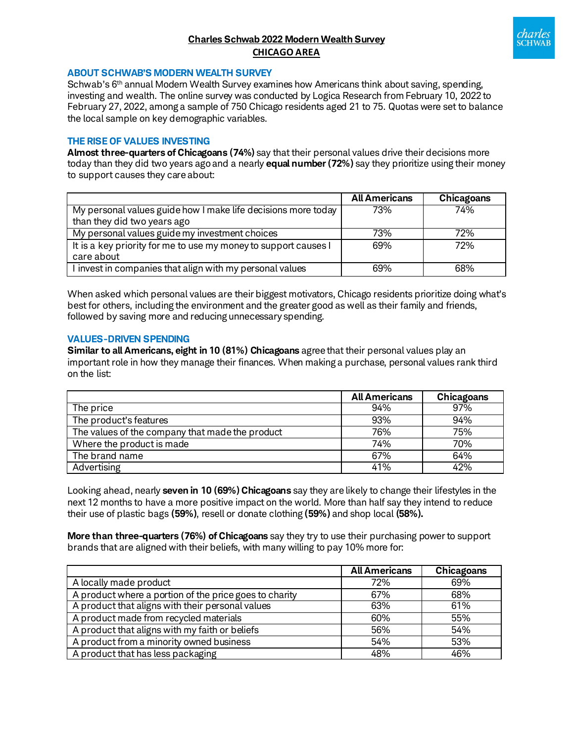# **Charles Schwab 2022 Modern Wealth Survey CHICAGO AREA**



#### **ABOUT SCHWAB'S MODERN WEALTH SURVEY**

Schwab's 6<sup>th</sup> annual Modern Wealth Survey examines how Americans think about saving, spending, investing and wealth. The online survey was conducted by Logica Research from February 10, 2022 to February 27, 2022, among a sample of 750 Chicago residents aged 21 to 75. Quotas were set to balance the local sample on key demographic variables.

## **THE RISE OF VALUES INVESTING**

**Almost three-quarters of Chicagoans (74%)** say that their personal values drive their decisions more today than they did two years agoand a nearly **equal number (72%)** say they prioritize using their money to support causes they care about:

|                                                                 | <b>All Americans</b> | Chicagoans |
|-----------------------------------------------------------------|----------------------|------------|
| My personal values guide how I make life decisions more today   | 73%                  | 74%        |
| than they did two years ago                                     |                      |            |
| My personal values guide my investment choices                  | 73%                  | 72%        |
| It is a key priority for me to use my money to support causes I | 69%                  | 72%        |
| care about                                                      |                      |            |
| I invest in companies that align with my personal values        | 69%                  | 68%        |

When asked which personal values are their biggest motivators, Chicago residents prioritize doing what's best for others, including the environment and the greater good as well as their family and friends, followed by saving more and reducing unnecessary spending.

#### **VALUES-DRIVEN SPENDING**

**Similar to all Americans, eight in 10 (81%) Chicagoans** agree that their personal values play an important role in how they manage their finances. When making a purchase, personal values rank third on the list:

|                                                 | <b>All Americans</b> | Chicagoans |
|-------------------------------------------------|----------------------|------------|
| The price                                       | 94%                  | 97%        |
| The product's features                          | 93%                  | 94%        |
| The values of the company that made the product | 76%                  | 75%        |
| Where the product is made                       | 74%                  | 70%        |
| The brand name                                  | 67%                  | 64%        |
| Advertising                                     | 41%                  | 42%        |

Looking ahead, nearly **seven in 10 (69%) Chicagoans** say they are likely to change their lifestyles in the next 12 months to have a more positive impact on the world. More than half say they intend to reduce their use of plastic bags **(59%)**, resell or donate clothing **(59%)** and shop local **(58%).**

**More than three-quarters (76%) of Chicagoans** say they try to use their purchasing power to support brands that are aligned with their beliefs, with many willing to pay 10% more for:

|                                                        | <b>All Americans</b> | Chicagoans |
|--------------------------------------------------------|----------------------|------------|
| A locally made product                                 | 72%                  | 69%        |
| A product where a portion of the price goes to charity | 67%                  | 68%        |
| A product that aligns with their personal values       | 63%                  | 61%        |
| A product made from recycled materials                 | 60%                  | 55%        |
| A product that aligns with my faith or beliefs         | 56%                  | 54%        |
| A product from a minority owned business               | 54%                  | 53%        |
| A product that has less packaging                      | 48%                  | 46%        |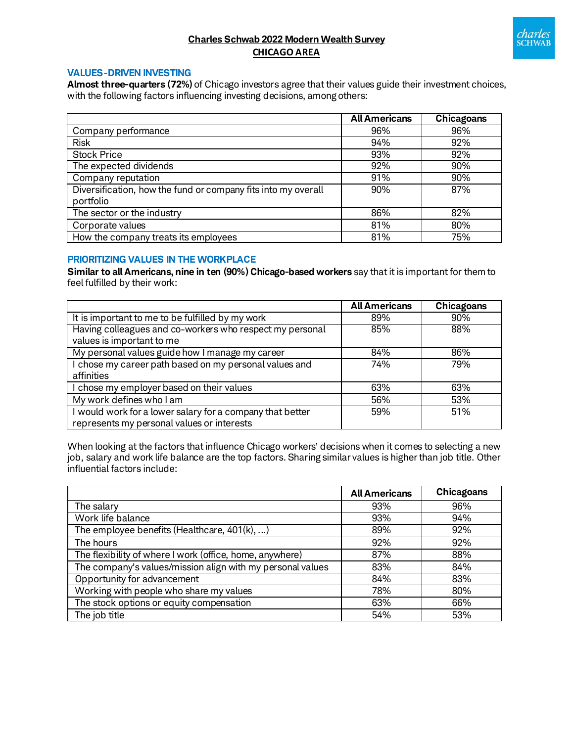

# **Charles Schwab 2022 Modern Wealth Survey CHICAGO AREA**

## **VALUES-DRIVEN INVESTING**

**Almost three-quarters (72%)** of Chicago investors agree that their values guide their investment choices, with the following factors influencing investing decisions, among others:

|                                                               | <b>All Americans</b> | Chicagoans |
|---------------------------------------------------------------|----------------------|------------|
| Company performance                                           | 96%                  | 96%        |
| <b>Risk</b>                                                   | 94%                  | 92%        |
| <b>Stock Price</b>                                            | 93%                  | 92%        |
| The expected dividends                                        | 92%                  | 90%        |
| Company reputation                                            | 91%                  | 90%        |
| Diversification, how the fund or company fits into my overall | 90%                  | 87%        |
| portfolio                                                     |                      |            |
| The sector or the industry                                    | 86%                  | 82%        |
| Corporate values                                              | 81%                  | 80%        |
| How the company treats its employees                          | 81%                  | 75%        |

## **PRIORITIZING VALUES IN THE WORKPLACE**

**Similar to all Americans, nine in ten (90%) Chicago-based workers** say that it is important for them to feel fulfilled by their work:

|                                                           | <b>All Americans</b> | Chicagoans |
|-----------------------------------------------------------|----------------------|------------|
| It is important to me to be fulfilled by my work          | 89%                  | 90%        |
| Having colleagues and co-workers who respect my personal  | 85%                  | 88%        |
| values is important to me                                 |                      |            |
| My personal values guide how I manage my career           | 84%                  | 86%        |
| I chose my career path based on my personal values and    | 74%                  | 79%        |
| affinities                                                |                      |            |
| I chose my employer based on their values                 | 63%                  | 63%        |
| My work defines who I am                                  | 56%                  | 53%        |
| I would work for a lower salary for a company that better | 59%                  | 51%        |
| represents my personal values or interests                |                      |            |

When looking at the factors that influence Chicago workers' decisions when it comes to selecting a new job, salary and work life balance are the top factors. Sharing similar values is higher than job title. Other influential factors include:

|                                                            | <b>All Americans</b> | Chicagoans |
|------------------------------------------------------------|----------------------|------------|
| The salary                                                 | 93%                  | 96%        |
| Work life balance                                          | 93%                  | 94%        |
| The employee benefits (Healthcare, 401(k), )               | 89%                  | 92%        |
| The hours                                                  | 92%                  | 92%        |
| The flexibility of where I work (office, home, anywhere)   | 87%                  | 88%        |
| The company's values/mission align with my personal values | 83%                  | 84%        |
| Opportunity for advancement                                | 84%                  | 83%        |
| Working with people who share my values                    | 78%                  | 80%        |
| The stock options or equity compensation                   | 63%                  | 66%        |
| The job title                                              | 54%                  | 53%        |